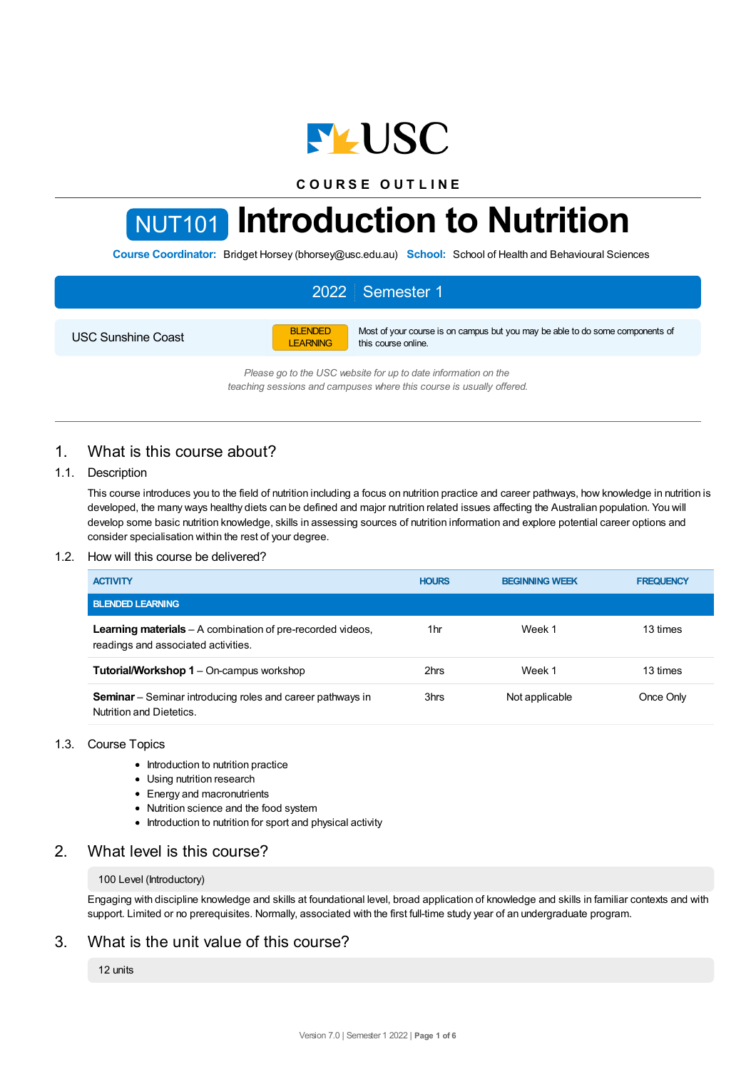

**C O U R S E O U T L I N E**

# NUT101 **Introduction to Nutrition**

**Course Coordinator:** Bridget Horsey (bhorsey@usc.edu.au) **School:** School of Health and Behavioural Sciences

# 2022 Semester 1

USC Sunshine Coast

BLENDED LEARNING Most of your course is on campus but you may be able to do some components of this course online.

*Please go to the USC website for up to date information on the teaching sessions and campuses where this course is usually offered.*

# 1. What is this course about?

## 1.1. Description

This course introduces you to the field of nutrition including a focus on nutrition practice and career pathways, how knowledge in nutrition is developed, the many ways healthy diets can be defined and major nutrition related issues affecting the Australian population. You will develop some basic nutrition knowledge, skills in assessing sources of nutrition information and explore potential career options and consider specialisation within the rest of your degree.

## 1.2. How will this course be delivered?

| <b>ACTIVITY</b>                                                                                          | <b>HOURS</b> | <b>BEGINNING WEEK</b> | <b>FREQUENCY</b> |
|----------------------------------------------------------------------------------------------------------|--------------|-----------------------|------------------|
| <b>BLENDED LEARNING</b>                                                                                  |              |                       |                  |
| <b>Learning materials</b> – A combination of pre-recorded videos,<br>readings and associated activities. | 1hr          | Week 1                | 13 times         |
| <b>Tutorial/Workshop 1 – On-campus workshop</b>                                                          | 2hrs         | Week 1                | 13 times         |
| <b>Seminar</b> – Seminar introducing roles and career pathways in<br>Nutrition and Dietetics.            | 3hrs         | Not applicable        | Once Only        |

## 1.3. Course Topics

- Introduction to nutrition practice
- Using nutrition research
- Energy and macronutrients
- Nutrition science and the food system
- Introduction to nutrition for sport and physical activity

## 2. What level is this course?

#### 100 Level (Introductory)

Engaging with discipline knowledge and skills at foundational level, broad application of knowledge and skills in familiar contexts and with support. Limited or no prerequisites. Normally, associated with the first full-time study year of an undergraduate program.

## 3. What is the unit value of this course?

12 units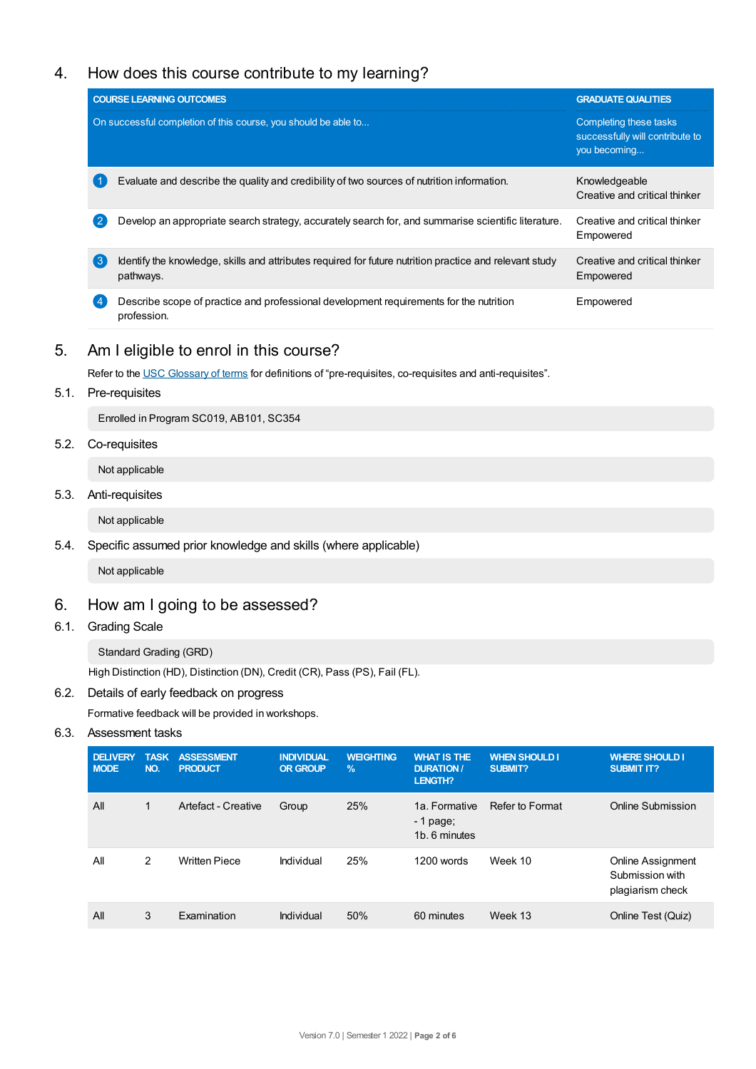# 4. How does this course contribute to my learning?

|    | <b>COURSE LEARNING OUTCOMES</b>                                                                                      | <b>GRADUATE QUALITIES</b>                                                 |  |
|----|----------------------------------------------------------------------------------------------------------------------|---------------------------------------------------------------------------|--|
|    | On successful completion of this course, you should be able to                                                       | Completing these tasks<br>successfully will contribute to<br>you becoming |  |
|    | Evaluate and describe the quality and credibility of two sources of nutrition information.                           | Knowledgeable<br>Creative and critical thinker                            |  |
|    | Develop an appropriate search strategy, accurately search for, and summarise scientific literature.                  | Creative and critical thinker<br>Empowered                                |  |
| (ვ | Identify the knowledge, skills and attributes required for future nutrition practice and relevant study<br>pathways. | Creative and critical thinker<br>Empowered                                |  |
|    | Describe scope of practice and professional development requirements for the nutrition<br>profession.                | Empowered                                                                 |  |

# 5. Am Ieligible to enrol in this course?

Refer to the USC [Glossary](https://www.usc.edu.au/about/policies-and-procedures/glossary-of-terms-for-policy-and-procedures) of terms for definitions of "pre-requisites, co-requisites and anti-requisites".

5.1. Pre-requisites

Enrolled in Program SC019, AB101, SC354

5.2. Co-requisites

Not applicable

5.3. Anti-requisites

Not applicable

5.4. Specific assumed prior knowledge and skills (where applicable)

Not applicable

# 6. How am Igoing to be assessed?

6.1. Grading Scale

Standard Grading (GRD)

High Distinction (HD), Distinction (DN), Credit (CR), Pass (PS), Fail (FL).

## 6.2. Details of early feedback on progress

Formative feedback will be provided in workshops.

## 6.3. Assessment tasks

| <b>DELIVERY</b><br><b>MODE</b> | <b>TASK</b><br>NO. | <b>ASSESSMENT</b><br><b>PRODUCT</b> | <b>INDIVIDUAL</b><br><b>OR GROUP</b> | <b>WEIGHTING</b><br>$\%$ | <b>WHAT IS THE</b><br><b>DURATION /</b><br>LENGTH? | <b>WHEN SHOULD I</b><br><b>SUBMIT?</b> | <b>WHERE SHOULD I</b><br><b>SUBMIT IT?</b>               |
|--------------------------------|--------------------|-------------------------------------|--------------------------------------|--------------------------|----------------------------------------------------|----------------------------------------|----------------------------------------------------------|
| All                            | $\mathbf{1}$       | Artefact - Creative                 | Group                                | 25%                      | 1a. Formative<br>$-1$ page;<br>1b. 6 minutes       | Refer to Format                        | Online Submission                                        |
| All                            | 2                  | <b>Written Piece</b>                | Individual                           | 25%                      | 1200 words                                         | Week 10                                | Online Assignment<br>Submission with<br>plagiarism check |
| All                            | 3                  | Examination                         | Individual                           | 50%                      | 60 minutes                                         | Week 13                                | Online Test (Quiz)                                       |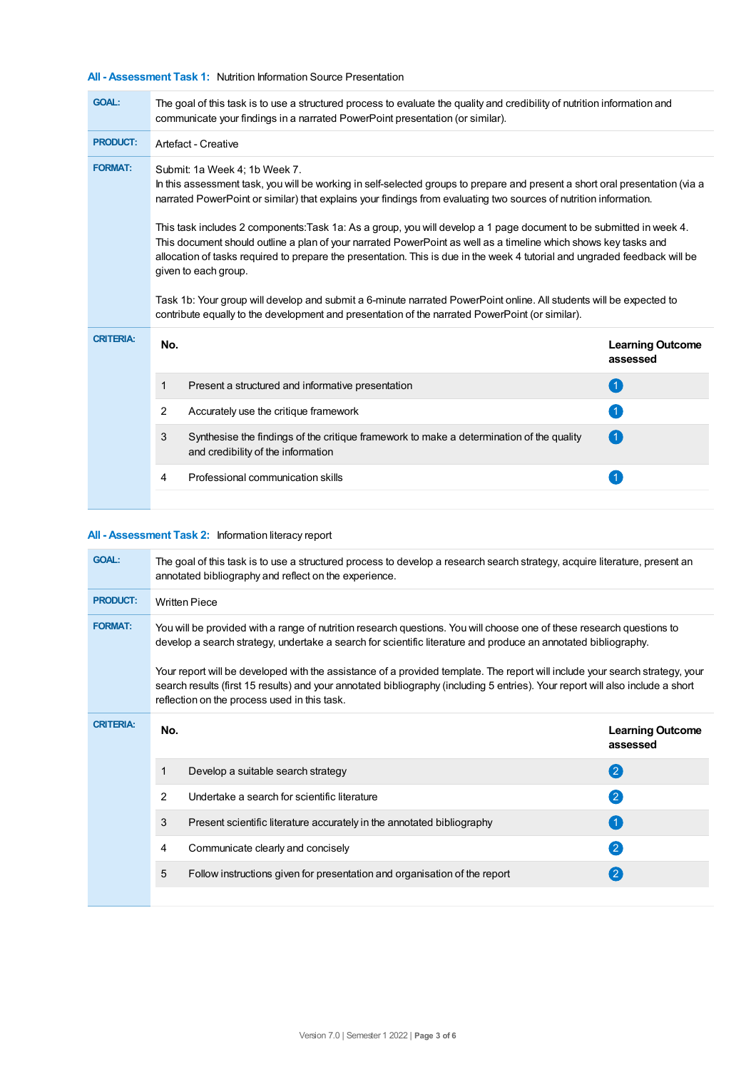## **All - Assessment Task 1:** Nutrition Information Source Presentation

÷

| <b>GOAL:</b>     | The goal of this task is to use a structured process to evaluate the quality and credibility of nutrition information and<br>communicate your findings in a narrated PowerPoint presentation (or similar).                                                                                                                                                                                                                                                                                                                                                                                                                                                                                                                                                                                                                                                                                                   |                                     |  |  |  |  |
|------------------|--------------------------------------------------------------------------------------------------------------------------------------------------------------------------------------------------------------------------------------------------------------------------------------------------------------------------------------------------------------------------------------------------------------------------------------------------------------------------------------------------------------------------------------------------------------------------------------------------------------------------------------------------------------------------------------------------------------------------------------------------------------------------------------------------------------------------------------------------------------------------------------------------------------|-------------------------------------|--|--|--|--|
| <b>PRODUCT:</b>  | Artefact - Creative                                                                                                                                                                                                                                                                                                                                                                                                                                                                                                                                                                                                                                                                                                                                                                                                                                                                                          |                                     |  |  |  |  |
| <b>FORMAT:</b>   | Submit: 1a Week 4; 1b Week 7.<br>In this assessment task, you will be working in self-selected groups to prepare and present a short oral presentation (via a<br>narrated PowerPoint or similar) that explains your findings from evaluating two sources of nutrition information.<br>This task includes 2 components: Task 1a: As a group, you will develop a 1 page document to be submitted in week 4.<br>This document should outline a plan of your narrated PowerPoint as well as a timeline which shows key tasks and<br>allocation of tasks required to prepare the presentation. This is due in the week 4 tutorial and ungraded feedback will be<br>given to each group.<br>Task 1b: Your group will develop and submit a 6-minute narrated PowerPoint online. All students will be expected to<br>contribute equally to the development and presentation of the narrated PowerPoint (or similar). |                                     |  |  |  |  |
| <b>CRITERIA:</b> | No.                                                                                                                                                                                                                                                                                                                                                                                                                                                                                                                                                                                                                                                                                                                                                                                                                                                                                                          | <b>Learning Outcome</b><br>assessed |  |  |  |  |
|                  | Present a structured and informative presentation<br>1                                                                                                                                                                                                                                                                                                                                                                                                                                                                                                                                                                                                                                                                                                                                                                                                                                                       | $\left( 1 \right)$                  |  |  |  |  |
|                  | $\overline{2}$<br>Accurately use the critique framework                                                                                                                                                                                                                                                                                                                                                                                                                                                                                                                                                                                                                                                                                                                                                                                                                                                      | $\overline{1}$                      |  |  |  |  |
|                  | 3<br>Synthesise the findings of the critique framework to make a determination of the quality<br>and credibility of the information                                                                                                                                                                                                                                                                                                                                                                                                                                                                                                                                                                                                                                                                                                                                                                          | $\left( 1\right)$                   |  |  |  |  |
|                  | Professional communication skills<br>4                                                                                                                                                                                                                                                                                                                                                                                                                                                                                                                                                                                                                                                                                                                                                                                                                                                                       |                                     |  |  |  |  |
|                  |                                                                                                                                                                                                                                                                                                                                                                                                                                                                                                                                                                                                                                                                                                                                                                                                                                                                                                              |                                     |  |  |  |  |

## **All - Assessment Task 2:** Information literacy report

| <b>GOAL:</b>     | The goal of this task is to use a structured process to develop a research search strategy, acquire literature, present an<br>annotated bibliography and reflect on the experience.                                                                                                                            |                                                                           |                                     |  |  |  |
|------------------|----------------------------------------------------------------------------------------------------------------------------------------------------------------------------------------------------------------------------------------------------------------------------------------------------------------|---------------------------------------------------------------------------|-------------------------------------|--|--|--|
| <b>PRODUCT:</b>  | <b>Written Piece</b>                                                                                                                                                                                                                                                                                           |                                                                           |                                     |  |  |  |
| <b>FORMAT:</b>   | You will be provided with a range of nutrition research questions. You will choose one of these research questions to<br>develop a search strategy, undertake a search for scientific literature and produce an annotated bibliography.                                                                        |                                                                           |                                     |  |  |  |
|                  | Your report will be developed with the assistance of a provided template. The report will include your search strategy, your<br>search results (first 15 results) and your annotated bibliography (including 5 entries). Your report will also include a short<br>reflection on the process used in this task. |                                                                           |                                     |  |  |  |
| <b>CRITERIA:</b> | No.                                                                                                                                                                                                                                                                                                            |                                                                           | <b>Learning Outcome</b><br>assessed |  |  |  |
|                  | 1                                                                                                                                                                                                                                                                                                              | Develop a suitable search strategy                                        | 2                                   |  |  |  |
|                  | $\overline{2}$                                                                                                                                                                                                                                                                                                 | Undertake a search for scientific literature                              | $\overline{2}$                      |  |  |  |
|                  | 3                                                                                                                                                                                                                                                                                                              | Present scientific literature accurately in the annotated bibliography    |                                     |  |  |  |
|                  | 4                                                                                                                                                                                                                                                                                                              | Communicate clearly and concisely                                         | $\mathbf{2}$                        |  |  |  |
|                  | 5                                                                                                                                                                                                                                                                                                              | Follow instructions given for presentation and organisation of the report | (2)                                 |  |  |  |
|                  |                                                                                                                                                                                                                                                                                                                |                                                                           |                                     |  |  |  |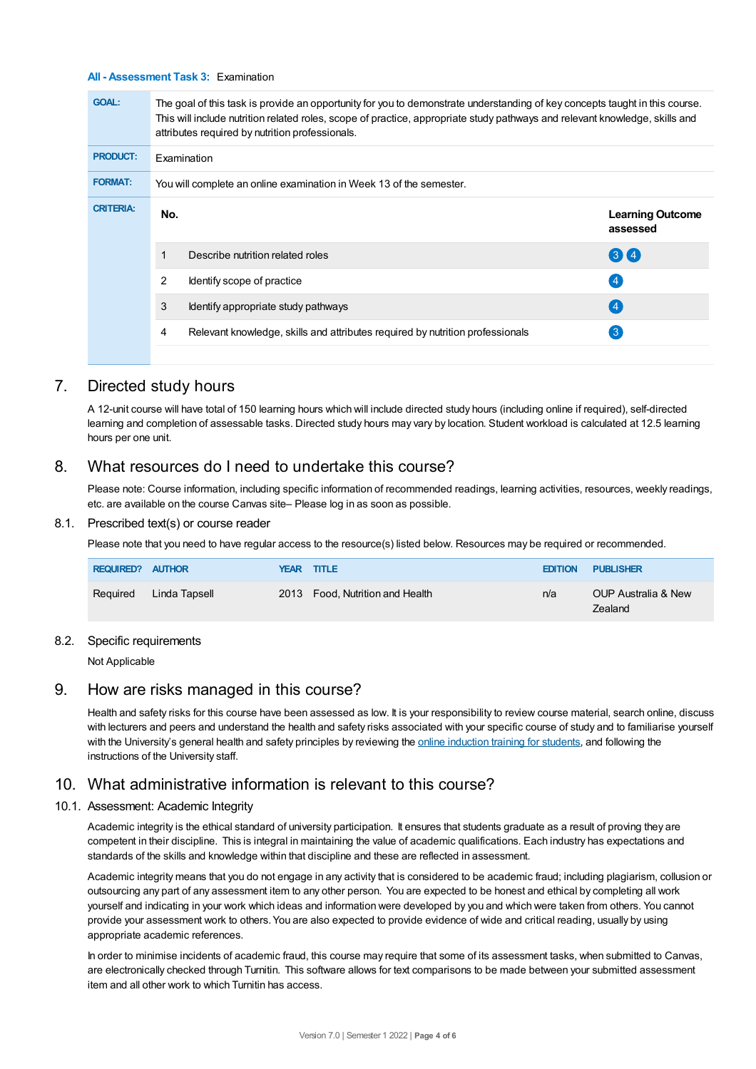#### **All - Assessment Task 3:** Examination

| <b>GOAL:</b>     | The goal of this task is provide an opportunity for you to demonstrate understanding of key concepts taught in this course.<br>This will include nutrition related roles, scope of practice, appropriate study pathways and relevant knowledge, skills and<br>attributes required by nutrition professionals. |                                                                               |                                     |  |  |  |
|------------------|---------------------------------------------------------------------------------------------------------------------------------------------------------------------------------------------------------------------------------------------------------------------------------------------------------------|-------------------------------------------------------------------------------|-------------------------------------|--|--|--|
| <b>PRODUCT:</b>  | Examination                                                                                                                                                                                                                                                                                                   |                                                                               |                                     |  |  |  |
| <b>FORMAT:</b>   | You will complete an online examination in Week 13 of the semester.                                                                                                                                                                                                                                           |                                                                               |                                     |  |  |  |
| <b>CRITERIA:</b> | No.                                                                                                                                                                                                                                                                                                           |                                                                               | <b>Learning Outcome</b><br>assessed |  |  |  |
|                  |                                                                                                                                                                                                                                                                                                               | Describe nutrition related roles                                              | 3(4)                                |  |  |  |
|                  | 2                                                                                                                                                                                                                                                                                                             | Identify scope of practice                                                    | $\left( 4\right)$                   |  |  |  |
|                  | 3                                                                                                                                                                                                                                                                                                             | Identify appropriate study pathways                                           | (4)                                 |  |  |  |
|                  | 4                                                                                                                                                                                                                                                                                                             | Relevant knowledge, skills and attributes required by nutrition professionals | $\mathbf{3}$                        |  |  |  |
|                  |                                                                                                                                                                                                                                                                                                               |                                                                               |                                     |  |  |  |

## 7. Directed study hours

A 12-unit course will have total of 150 learning hours which will include directed study hours (including online if required), self-directed learning and completion of assessable tasks. Directed study hours may vary by location. Student workload is calculated at 12.5 learning hours per one unit.

## 8. What resources do I need to undertake this course?

Please note: Course information, including specific information of recommended readings, learning activities, resources, weekly readings, etc. are available on the course Canvas site– Please log in as soon as possible.

#### 8.1. Prescribed text(s) or course reader

Please note that you need to have regular access to the resource(s) listed below. Resources may be required or recommended.

| <b>REQUIRED? AUTHOR</b> |               | <b>YEAR TITLE</b>               | <b>EDITION</b> | <b>PUBLISHER</b>               |
|-------------------------|---------------|---------------------------------|----------------|--------------------------------|
| Reguired                | Linda Tapsell | 2013 Food, Nutrition and Health | n/a            | OUP Australia & New<br>Zealand |

#### 8.2. Specific requirements

Not Applicable

## 9. How are risks managed in this course?

Health and safety risks for this course have been assessed as low. It is your responsibility to review course material, search online, discuss with lecturers and peers and understand the health and safety risks associated with your specific course of study and to familiarise yourself with the University's general health and safety principles by reviewing the online [induction](https://online.usc.edu.au/webapps/blackboard/content/listContentEditable.jsp?content_id=_632657_1&course_id=_14432_1) training for students, and following the instructions of the University staff.

## 10. What administrative information is relevant to this course?

#### 10.1. Assessment: Academic Integrity

Academic integrity is the ethical standard of university participation. It ensures that students graduate as a result of proving they are competent in their discipline. This is integral in maintaining the value of academic qualifications. Each industry has expectations and standards of the skills and knowledge within that discipline and these are reflected in assessment.

Academic integrity means that you do not engage in any activity that is considered to be academic fraud; including plagiarism, collusion or outsourcing any part of any assessment item to any other person. You are expected to be honest and ethical by completing all work yourself and indicating in your work which ideas and information were developed by you and which were taken from others. You cannot provide your assessment work to others.You are also expected to provide evidence of wide and critical reading, usually by using appropriate academic references.

In order to minimise incidents of academic fraud, this course may require that some of its assessment tasks, when submitted to Canvas, are electronically checked through Turnitin. This software allows for text comparisons to be made between your submitted assessment item and all other work to which Turnitin has access.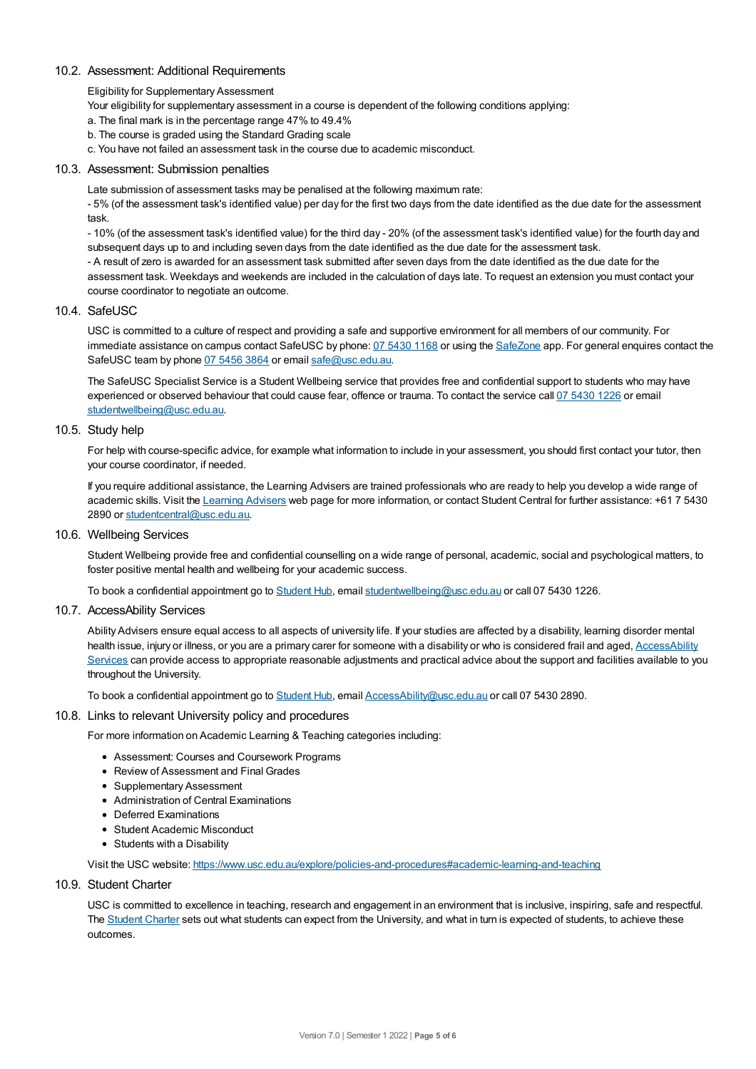## 10.2. Assessment: Additional Requirements

Eligibility for Supplementary Assessment

Your eligibility for supplementary assessment in a course is dependent of the following conditions applying:

a. The final mark is in the percentage range 47% to 49.4%

- b. The course is graded using the Standard Grading scale
- c. You have not failed an assessment task in the course due to academic misconduct.

## 10.3. Assessment: Submission penalties

Late submission of assessment tasks may be penalised at the following maximum rate:

- 5% (of the assessment task's identified value) per day for the first two days from the date identified as the due date for the assessment task.

- 10% (of the assessment task's identified value) for the third day - 20% (of the assessment task's identified value) for the fourth day and subsequent days up to and including seven days from the date identified as the due date for the assessment task.

- A result of zero is awarded for an assessment task submitted after seven days from the date identified as the due date for the assessment task. Weekdays and weekends are included in the calculation of days late. To request an extension you must contact your course coordinator to negotiate an outcome.

## 10.4. SafeUSC

USC is committed to a culture of respect and providing a safe and supportive environment for all members of our community. For immediate assistance on campus contact SafeUSC by phone: 07 [5430](tel:07%205430%201168) 1168 or using the [SafeZone](https://www.safezoneapp.com) app. For general enquires contact the SafeUSC team by phone 07 [5456](tel:07%205456%203864) 3864 or email [safe@usc.edu.au](mailto:safe@usc.edu.au).

The SafeUSC Specialist Service is a Student Wellbeing service that provides free and confidential support to students who may have experienced or observed behaviour that could cause fear, offence or trauma. To contact the service call 07 [5430](tel:07%205430%201226) 1226 or email [studentwellbeing@usc.edu.au](mailto:studentwellbeing@usc.edu.au).

## 10.5. Study help

For help with course-specific advice, for example what information to include in your assessment, you should first contact your tutor, then your course coordinator, if needed.

If you require additional assistance, the Learning Advisers are trained professionals who are ready to help you develop a wide range of academic skills. Visit the Learning [Advisers](https://www.usc.edu.au/current-students/student-support/academic-and-study-support/learning-advisers) web page for more information, or contact Student Central for further assistance: +61 7 5430 2890 or [studentcentral@usc.edu.au](mailto:studentcentral@usc.edu.au).

10.6. Wellbeing Services

Student Wellbeing provide free and confidential counselling on a wide range of personal, academic, social and psychological matters, to foster positive mental health and wellbeing for your academic success.

To book a confidential appointment go to [Student](https://studenthub.usc.edu.au/) Hub, email [studentwellbeing@usc.edu.au](mailto:studentwellbeing@usc.edu.au) or call 07 5430 1226.

## 10.7. AccessAbility Services

Ability Advisers ensure equal access to all aspects of university life. If your studies are affected by a disability, learning disorder mental health issue, injury or illness, or you are a primary carer for someone with a disability or who is considered frail and aged, [AccessAbility](https://www.usc.edu.au/learn/student-support/accessability-services/documentation-requirements) Services can provide access to appropriate reasonable adjustments and practical advice about the support and facilities available to you throughout the University.

To book a confidential appointment go to [Student](https://studenthub.usc.edu.au/) Hub, email [AccessAbility@usc.edu.au](mailto:AccessAbility@usc.edu.au) or call 07 5430 2890.

#### 10.8. Links to relevant University policy and procedures

For more information on Academic Learning & Teaching categories including:

- Assessment: Courses and Coursework Programs
- Review of Assessment and Final Grades
- Supplementary Assessment
- Administration of Central Examinations
- Deferred Examinations
- Student Academic Misconduct
- Students with a Disability

Visit the USC website: <https://www.usc.edu.au/explore/policies-and-procedures#academic-learning-and-teaching>

## 10.9. Student Charter

USC is committed to excellence in teaching, research and engagement in an environment that is inclusive, inspiring, safe and respectful. The [Student](https://www.usc.edu.au/current-students/student-charter) Charter sets out what students can expect from the University, and what in turn is expected of students, to achieve these outcomes.